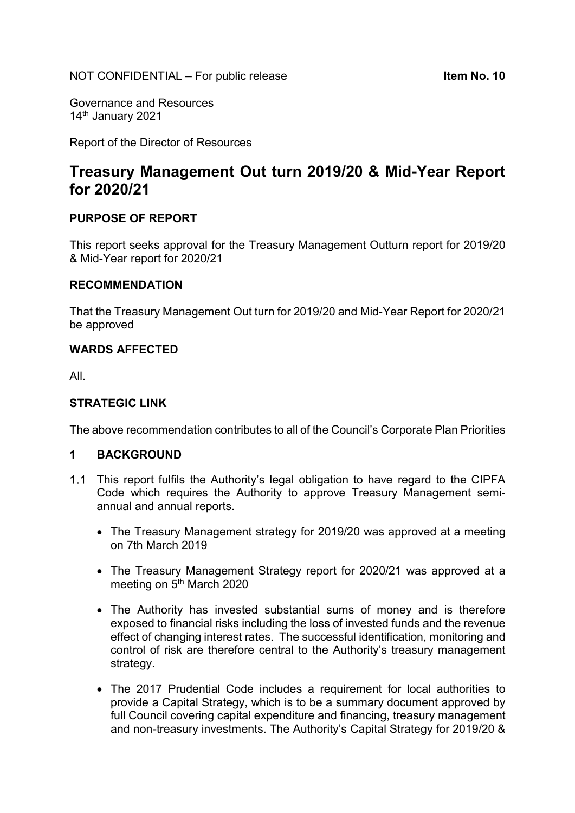Governance and Resources 14<sup>th</sup> January 2021

Report of the Director of Resources

# Treasury Management Out turn 2019/20 & Mid-Year Report for 2020/21

### PURPOSE OF REPORT

This report seeks approval for the Treasury Management Outturn report for 2019/20 & Mid-Year report for 2020/21

#### RECOMMENDATION

That the Treasury Management Out turn for 2019/20 and Mid-Year Report for 2020/21 be approved

#### WARDS AFFECTED

All.

#### STRATEGIC LINK

The above recommendation contributes to all of the Council's Corporate Plan Priorities

### 1 BACKGROUND

- 1.1 This report fulfils the Authority's legal obligation to have regard to the CIPFA Code which requires the Authority to approve Treasury Management semiannual and annual reports.
	- The Treasury Management strategy for 2019/20 was approved at a meeting on 7th March 2019
	- The Treasury Management Strategy report for 2020/21 was approved at a meeting on 5<sup>th</sup> March 2020
	- The Authority has invested substantial sums of money and is therefore exposed to financial risks including the loss of invested funds and the revenue effect of changing interest rates. The successful identification, monitoring and control of risk are therefore central to the Authority's treasury management strategy.
	- The 2017 Prudential Code includes a requirement for local authorities to provide a Capital Strategy, which is to be a summary document approved by full Council covering capital expenditure and financing, treasury management and non-treasury investments. The Authority's Capital Strategy for 2019/20 &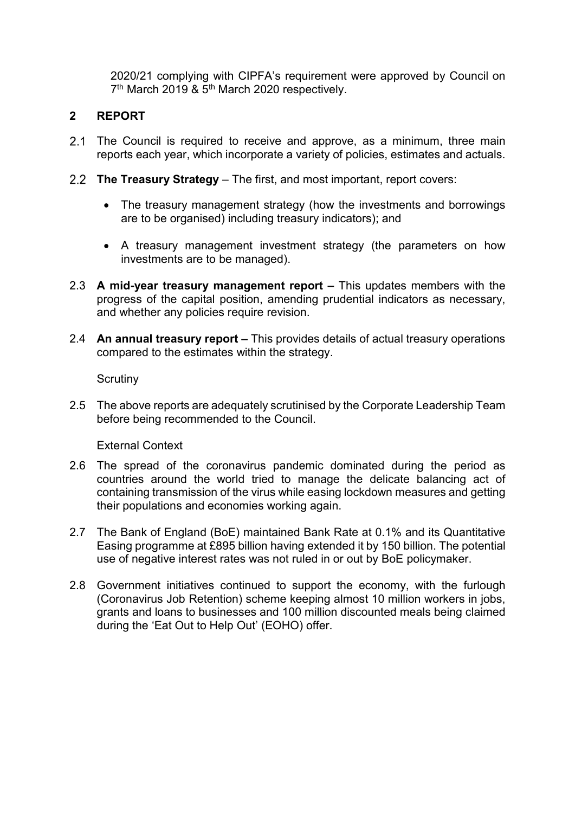2020/21 complying with CIPFA's requirement were approved by Council on 7<sup>th</sup> March 2019 & 5<sup>th</sup> March 2020 respectively.

## 2 REPORT

- 2.1 The Council is required to receive and approve, as a minimum, three main reports each year, which incorporate a variety of policies, estimates and actuals.
- 2.2 The Treasury Strategy The first, and most important, report covers:
	- The treasury management strategy (how the investments and borrowings are to be organised) including treasury indicators); and
	- A treasury management investment strategy (the parameters on how investments are to be managed).
- 2.3 A mid-year treasury management report This updates members with the progress of the capital position, amending prudential indicators as necessary, and whether any policies require revision.
- 2.4 An annual treasury report This provides details of actual treasury operations compared to the estimates within the strategy.

**Scrutiny** 

2.5 The above reports are adequately scrutinised by the Corporate Leadership Team before being recommended to the Council.

External Context

- 2.6 The spread of the coronavirus pandemic dominated during the period as countries around the world tried to manage the delicate balancing act of containing transmission of the virus while easing lockdown measures and getting their populations and economies working again.
- 2.7 The Bank of England (BoE) maintained Bank Rate at 0.1% and its Quantitative Easing programme at £895 billion having extended it by 150 billion. The potential use of negative interest rates was not ruled in or out by BoE policymaker.
- 2.8 Government initiatives continued to support the economy, with the furlough (Coronavirus Job Retention) scheme keeping almost 10 million workers in jobs, grants and loans to businesses and 100 million discounted meals being claimed during the 'Eat Out to Help Out' (EOHO) offer.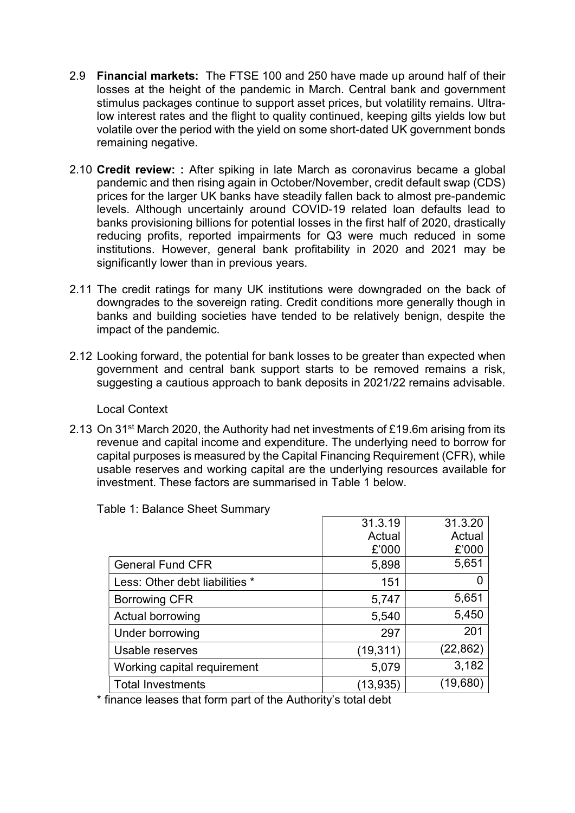- 2.9 Financial markets: The FTSE 100 and 250 have made up around half of their losses at the height of the pandemic in March. Central bank and government stimulus packages continue to support asset prices, but volatility remains. Ultralow interest rates and the flight to quality continued, keeping gilts yields low but volatile over the period with the yield on some short-dated UK government bonds remaining negative.
- 2.10 Credit review: : After spiking in late March as coronavirus became a global pandemic and then rising again in October/November, credit default swap (CDS) prices for the larger UK banks have steadily fallen back to almost pre-pandemic levels. Although uncertainly around COVID-19 related loan defaults lead to banks provisioning billions for potential losses in the first half of 2020, drastically reducing profits, reported impairments for Q3 were much reduced in some institutions. However, general bank profitability in 2020 and 2021 may be significantly lower than in previous years.
- 2.11 The credit ratings for many UK institutions were downgraded on the back of downgrades to the sovereign rating. Credit conditions more generally though in banks and building societies have tended to be relatively benign, despite the impact of the pandemic.
- 2.12 Looking forward, the potential for bank losses to be greater than expected when government and central bank support starts to be removed remains a risk, suggesting a cautious approach to bank deposits in 2021/22 remains advisable.

#### Local Context

2.13 On 31<sup>st</sup> March 2020, the Authority had net investments of £19.6m arising from its revenue and capital income and expenditure. The underlying need to borrow for capital purposes is measured by the Capital Financing Requirement (CFR), while usable reserves and working capital are the underlying resources available for investment. These factors are summarised in Table 1 below.

|                                | 31.3.19   | 31.3.20   |
|--------------------------------|-----------|-----------|
|                                | Actual    | Actual    |
|                                | £'000     | £'000     |
| <b>General Fund CFR</b>        | 5,898     | 5,651     |
| Less: Other debt liabilities * | 151       |           |
| <b>Borrowing CFR</b>           | 5,747     | 5,651     |
| Actual borrowing               | 5,540     | 5,450     |
| Under borrowing                | 297       | 201       |
| Usable reserves                | (19, 311) | (22, 862) |
| Working capital requirement    | 5,079     | 3,182     |
| <b>Total Investments</b>       | (13, 935) | (19,680)  |

Table 1: Balance Sheet Summary

\* finance leases that form part of the Authority's total debt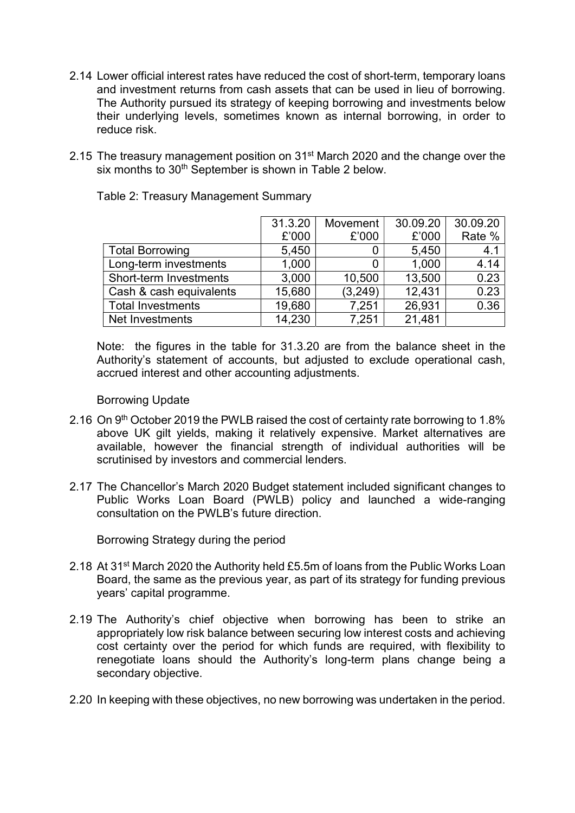- 2.14 Lower official interest rates have reduced the cost of short-term, temporary loans and investment returns from cash assets that can be used in lieu of borrowing. The Authority pursued its strategy of keeping borrowing and investments below their underlying levels, sometimes known as internal borrowing, in order to reduce risk.
- 2.15 The treasury management position on 31<sup>st</sup> March 2020 and the change over the six months to 30<sup>th</sup> September is shown in Table 2 below.

|                          | 31.3.20 | Movement | 30.09.20 | 30.09.20 |
|--------------------------|---------|----------|----------|----------|
|                          | £'000   | £'000    | £'000    | Rate %   |
| <b>Total Borrowing</b>   | 5,450   |          | 5,450    | 4.1      |
| Long-term investments    | 1,000   |          | 1,000    | 4.14     |
| Short-term Investments   | 3,000   | 10,500   | 13,500   | 0.23     |
| Cash & cash equivalents  | 15,680  | (3, 249) | 12,431   | 0.23     |
| <b>Total Investments</b> | 19,680  | 7,251    | 26,931   | 0.36     |
| Net Investments          | 14,230  | 7,251    | 21,481   |          |

Table 2: Treasury Management Summary

 Note: the figures in the table for 31.3.20 are from the balance sheet in the Authority's statement of accounts, but adjusted to exclude operational cash, accrued interest and other accounting adjustments.

#### Borrowing Update

- 2.16 On 9<sup>th</sup> October 2019 the PWLB raised the cost of certainty rate borrowing to 1.8% above UK gilt yields, making it relatively expensive. Market alternatives are available, however the financial strength of individual authorities will be scrutinised by investors and commercial lenders.
- 2.17 The Chancellor's March 2020 Budget statement included significant changes to Public Works Loan Board (PWLB) policy and launched a wide-ranging consultation on the PWLB's future direction.

Borrowing Strategy during the period

- 2.18 At 31st March 2020 the Authority held £5.5m of loans from the Public Works Loan Board, the same as the previous year, as part of its strategy for funding previous years' capital programme.
- 2.19 The Authority's chief objective when borrowing has been to strike an appropriately low risk balance between securing low interest costs and achieving cost certainty over the period for which funds are required, with flexibility to renegotiate loans should the Authority's long-term plans change being a secondary objective.
- 2.20 In keeping with these objectives, no new borrowing was undertaken in the period.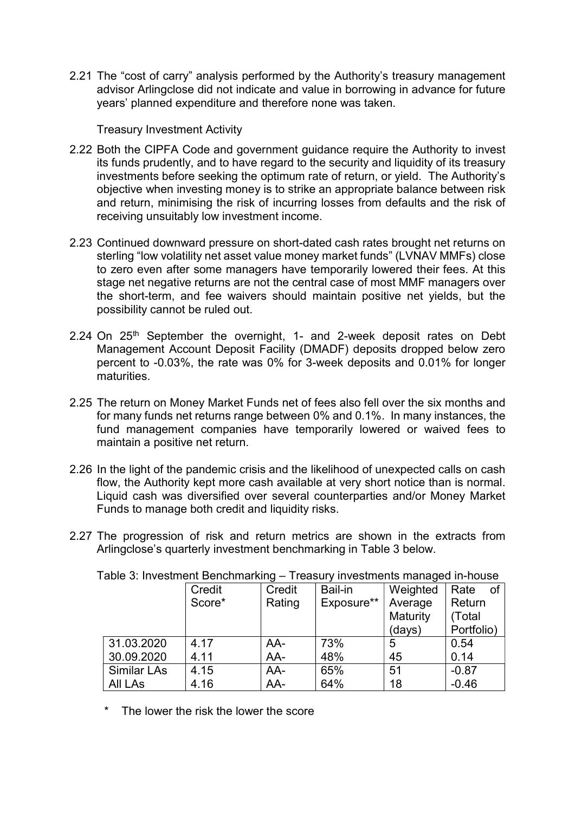2.21 The "cost of carry" analysis performed by the Authority's treasury management advisor Arlingclose did not indicate and value in borrowing in advance for future years' planned expenditure and therefore none was taken.

### Treasury Investment Activity

- 2.22 Both the CIPFA Code and government guidance require the Authority to invest its funds prudently, and to have regard to the security and liquidity of its treasury investments before seeking the optimum rate of return, or yield. The Authority's objective when investing money is to strike an appropriate balance between risk and return, minimising the risk of incurring losses from defaults and the risk of receiving unsuitably low investment income.
- 2.23 Continued downward pressure on short-dated cash rates brought net returns on sterling "low volatility net asset value money market funds" (LVNAV MMFs) close to zero even after some managers have temporarily lowered their fees. At this stage net negative returns are not the central case of most MMF managers over the short-term, and fee waivers should maintain positive net yields, but the possibility cannot be ruled out.
- 2.24 On 25<sup>th</sup> September the overnight, 1- and 2-week deposit rates on Debt Management Account Deposit Facility (DMADF) deposits dropped below zero percent to -0.03%, the rate was 0% for 3-week deposits and 0.01% for longer maturities.
- 2.25 The return on Money Market Funds net of fees also fell over the six months and for many funds net returns range between 0% and 0.1%. In many instances, the fund management companies have temporarily lowered or waived fees to maintain a positive net return.
- 2.26 In the light of the pandemic crisis and the likelihood of unexpected calls on cash flow, the Authority kept more cash available at very short notice than is normal. Liquid cash was diversified over several counterparties and/or Money Market Funds to manage both credit and liquidity risks.
- 2.27 The progression of risk and return metrics are shown in the extracts from Arlingclose's quarterly investment benchmarking in Table 3 below.

| <b>Table 0. INVESTING IN DETICITION INTIG</b><br>празагу шурэанствэ таанадса шттоаэр |        |                      |         |          |            |  |  |  |  |  |
|--------------------------------------------------------------------------------------|--------|----------------------|---------|----------|------------|--|--|--|--|--|
|                                                                                      | Credit | Credit               | Bail-in | Weighted | Rate<br>of |  |  |  |  |  |
|                                                                                      | Score* | Exposure**<br>Rating |         | Average  | Return     |  |  |  |  |  |
|                                                                                      |        |                      |         | Maturity | (Total     |  |  |  |  |  |
|                                                                                      |        |                      |         | (days)   | Portfolio) |  |  |  |  |  |
| 31.03.2020                                                                           | 4.17   | AA-                  | 73%     | 5        | 0.54       |  |  |  |  |  |
| 30.09.2020                                                                           | 4.11   | AA-                  | 48%     | 45       | 0.14       |  |  |  |  |  |
| <b>Similar LAs</b>                                                                   | 4.15   | AA-                  | 65%     | 51       | $-0.87$    |  |  |  |  |  |
| <b>All LAs</b>                                                                       | 4.16   | AA-                  | 64%     | 18       | $-0.46$    |  |  |  |  |  |

Table 3: Investment Benchmarking – Treasury investments managed in-house

The lower the risk the lower the score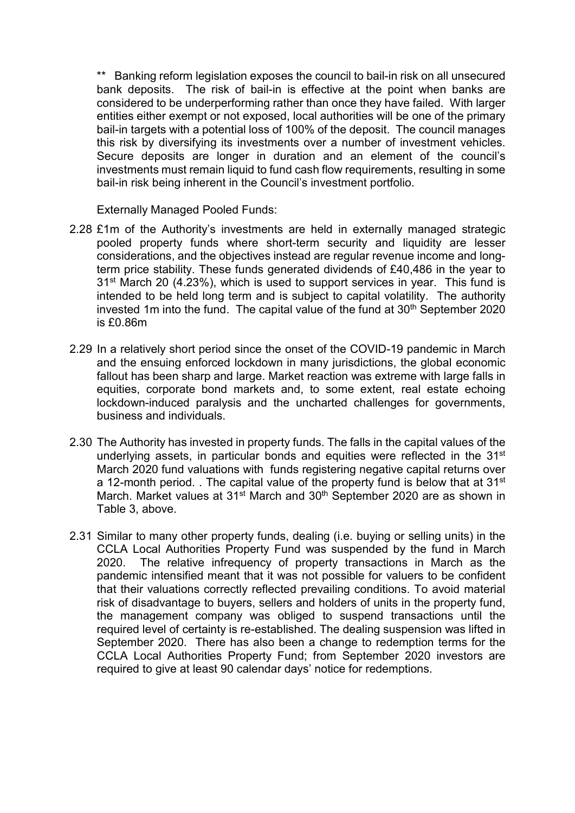\*\* Banking reform legislation exposes the council to bail-in risk on all unsecured bank deposits. The risk of bail-in is effective at the point when banks are considered to be underperforming rather than once they have failed. With larger entities either exempt or not exposed, local authorities will be one of the primary bail-in targets with a potential loss of 100% of the deposit. The council manages this risk by diversifying its investments over a number of investment vehicles. Secure deposits are longer in duration and an element of the council's investments must remain liquid to fund cash flow requirements, resulting in some bail-in risk being inherent in the Council's investment portfolio.

Externally Managed Pooled Funds:

- 2.28 £1m of the Authority's investments are held in externally managed strategic pooled property funds where short-term security and liquidity are lesser considerations, and the objectives instead are regular revenue income and longterm price stability. These funds generated dividends of £40,486 in the year to 31st March 20 (4.23%), which is used to support services in year. This fund is intended to be held long term and is subject to capital volatility. The authority invested 1m into the fund. The capital value of the fund at  $30<sup>th</sup>$  September 2020 is £0.86m
- 2.29 In a relatively short period since the onset of the COVID-19 pandemic in March and the ensuing enforced lockdown in many jurisdictions, the global economic fallout has been sharp and large. Market reaction was extreme with large falls in equities, corporate bond markets and, to some extent, real estate echoing lockdown-induced paralysis and the uncharted challenges for governments, business and individuals.
- 2.30 The Authority has invested in property funds. The falls in the capital values of the underlying assets, in particular bonds and equities were reflected in the 31<sup>st</sup> March 2020 fund valuations with funds registering negative capital returns over a 12-month period. . The capital value of the property fund is below that at 31<sup>st</sup> March. Market values at 31<sup>st</sup> March and 30<sup>th</sup> September 2020 are as shown in Table 3, above.
- 2.31 Similar to many other property funds, dealing (i.e. buying or selling units) in the CCLA Local Authorities Property Fund was suspended by the fund in March 2020. The relative infrequency of property transactions in March as the pandemic intensified meant that it was not possible for valuers to be confident that their valuations correctly reflected prevailing conditions. To avoid material risk of disadvantage to buyers, sellers and holders of units in the property fund, the management company was obliged to suspend transactions until the required level of certainty is re-established. The dealing suspension was lifted in September 2020. There has also been a change to redemption terms for the CCLA Local Authorities Property Fund; from September 2020 investors are required to give at least 90 calendar days' notice for redemptions.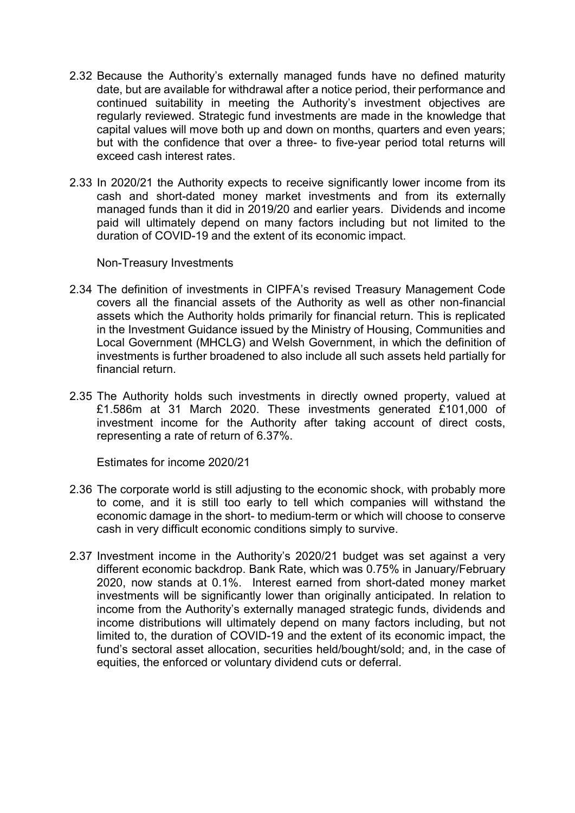- 2.32 Because the Authority's externally managed funds have no defined maturity date, but are available for withdrawal after a notice period, their performance and continued suitability in meeting the Authority's investment objectives are regularly reviewed. Strategic fund investments are made in the knowledge that capital values will move both up and down on months, quarters and even years; but with the confidence that over a three- to five-year period total returns will exceed cash interest rates.
- 2.33 In 2020/21 the Authority expects to receive significantly lower income from its cash and short-dated money market investments and from its externally managed funds than it did in 2019/20 and earlier years. Dividends and income paid will ultimately depend on many factors including but not limited to the duration of COVID-19 and the extent of its economic impact.

Non-Treasury Investments

- 2.34 The definition of investments in CIPFA's revised Treasury Management Code covers all the financial assets of the Authority as well as other non-financial assets which the Authority holds primarily for financial return. This is replicated in the Investment Guidance issued by the Ministry of Housing, Communities and Local Government (MHCLG) and Welsh Government, in which the definition of investments is further broadened to also include all such assets held partially for financial return.
- 2.35 The Authority holds such investments in directly owned property, valued at £1.586m at 31 March 2020. These investments generated £101,000 of investment income for the Authority after taking account of direct costs, representing a rate of return of 6.37%.

Estimates for income 2020/21

- 2.36 The corporate world is still adjusting to the economic shock, with probably more to come, and it is still too early to tell which companies will withstand the economic damage in the short- to medium-term or which will choose to conserve cash in very difficult economic conditions simply to survive.
- 2.37 Investment income in the Authority's 2020/21 budget was set against a very different economic backdrop. Bank Rate, which was 0.75% in January/February 2020, now stands at 0.1%. Interest earned from short-dated money market investments will be significantly lower than originally anticipated. In relation to income from the Authority's externally managed strategic funds, dividends and income distributions will ultimately depend on many factors including, but not limited to, the duration of COVID-19 and the extent of its economic impact, the fund's sectoral asset allocation, securities held/bought/sold; and, in the case of equities, the enforced or voluntary dividend cuts or deferral.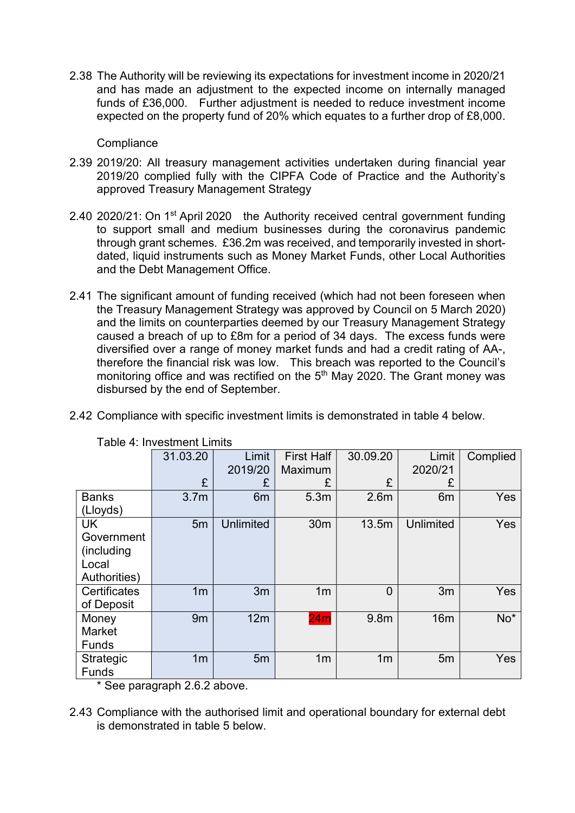2.38 The Authority will be reviewing its expectations for investment income in 2020/21 and has made an adjustment to the expected income on internally managed funds of £36,000. Further adjustment is needed to reduce investment income expected on the property fund of 20% which equates to a further drop of £8,000.

**Compliance** 

- 2.39 2019/20: All treasury management activities undertaken during financial year 2019/20 complied fully with the CIPFA Code of Practice and the Authority's approved Treasury Management Strategy
- 2.40 2020/21: On 1<sup>st</sup> April 2020 the Authority received central government funding to support small and medium businesses during the coronavirus pandemic through grant schemes. £36.2m was received, and temporarily invested in shortdated, liquid instruments such as Money Market Funds, other Local Authorities and the Debt Management Office.
- 2.41 The significant amount of funding received (which had not been foreseen when the Treasury Management Strategy was approved by Council on 5 March 2020) and the limits on counterparties deemed by our Treasury Management Strategy caused a breach of up to £8m for a period of 34 days. The excess funds were diversified over a range of money market funds and had a credit rating of AA-, therefore the financial risk was low. This breach was reported to the Council's monitoring office and was rectified on the  $5<sup>th</sup>$  May 2020. The Grant money was disbursed by the end of September.

|  |  |  |  |  |  | 2.42 Compliance with specific investment limits is demonstrated in table 4 below. |
|--|--|--|--|--|--|-----------------------------------------------------------------------------------|
|--|--|--|--|--|--|-----------------------------------------------------------------------------------|

|                  | 31.03.20         | Limit            | <b>First Half</b> | 30.09.20         | Limit          | Complied   |
|------------------|------------------|------------------|-------------------|------------------|----------------|------------|
|                  |                  | 2019/20          | Maximum           |                  | 2020/21        |            |
|                  | £                | £                | £                 | £                | £              |            |
| <b>Banks</b>     | 3.7 <sub>m</sub> | 6 <sub>m</sub>   | 5.3m              | 2.6 <sub>m</sub> | 6 <sub>m</sub> | Yes        |
| (Lloyds)         |                  |                  |                   |                  |                |            |
| UK               | 5m               | <b>Unlimited</b> | 30 <sub>m</sub>   | 13.5m            | Unlimited      | <b>Yes</b> |
| Government       |                  |                  |                   |                  |                |            |
| (including       |                  |                  |                   |                  |                |            |
| Local            |                  |                  |                   |                  |                |            |
| Authorities)     |                  |                  |                   |                  |                |            |
| Certificates     | 1 <sub>m</sub>   | 3m               | 1 <sub>m</sub>    | $\overline{0}$   | 3m             | Yes        |
| of Deposit       |                  |                  |                   |                  |                |            |
| Money            | 9m               | 12m              | 24m               | 9.8 <sub>m</sub> | 16m            | $No*$      |
| Market           |                  |                  |                   |                  |                |            |
| <b>Funds</b>     |                  |                  |                   |                  |                |            |
| <b>Strategic</b> | 1 <sub>m</sub>   | 5 <sub>m</sub>   | 1 <sub>m</sub>    | 1 <sub>m</sub>   | 5m             | Yes        |
| <b>Funds</b>     |                  |                  |                   |                  |                |            |

Table 4: Investment Limits

\* See paragraph 2.6.2 above.

<sup>2.43</sup> Compliance with the authorised limit and operational boundary for external debt is demonstrated in table 5 below.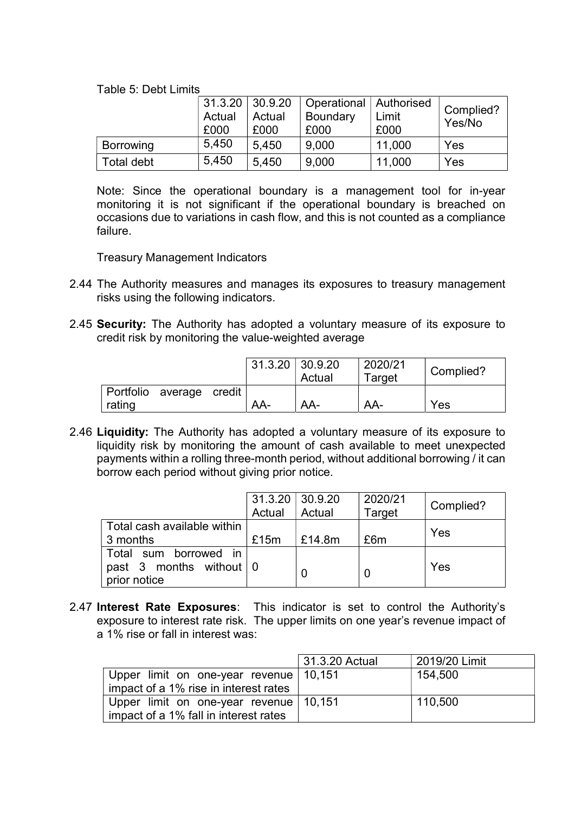Table 5: Debt Limits

|                  | $31.3.20 \mid 30.9.20$<br>Actual<br>Actual<br>£000<br>£000 |       | Operational   Authorised<br><b>Boundary</b><br>£000 | Limit<br>£000 | Complied?<br>Yes/No |
|------------------|------------------------------------------------------------|-------|-----------------------------------------------------|---------------|---------------------|
| <b>Borrowing</b> | 5,450                                                      | 5.450 | 9,000                                               | 11,000        | Yes                 |
| Total debt       | 5,450                                                      | 5.450 | 9,000                                               | 11,000        | Yes                 |

 Note: Since the operational boundary is a management tool for in-year monitoring it is not significant if the operational boundary is breached on occasions due to variations in cash flow, and this is not counted as a compliance failure.

Treasury Management Indicators

- 2.44 The Authority measures and manages its exposures to treasury management risks using the following indicators.
- 2.45 Security: The Authority has adopted a voluntary measure of its exposure to credit risk by monitoring the value-weighted average

|                                    | $31.3.20 \mid 30.9.20$ | Actual | 2020/21<br>Target | Complied? |
|------------------------------------|------------------------|--------|-------------------|-----------|
| Portfolio average credit<br>rating | AA-                    | AA-    | AA-               | Yes       |

2.46 Liquidity: The Authority has adopted a voluntary measure of its exposure to liquidity risk by monitoring the amount of cash available to meet unexpected payments within a rolling three-month period, without additional borrowing / it can borrow each period without giving prior notice.

|                                                                                  | $31.3.20 \mid 30.9.20$ |        | 2020/21 | Complied? |
|----------------------------------------------------------------------------------|------------------------|--------|---------|-----------|
|                                                                                  | Actual                 | Actual | Target  |           |
| Total cash available within<br>3 months                                          | £15m                   | £14.8m | £6m     | Yes       |
| Total sum borrowed in<br>past 3 months without $\vert 0 \rangle$<br>prior notice |                        |        |         | Yes       |

2.47 Interest Rate Exposures: This indicator is set to control the Authority's exposure to interest rate risk. The upper limits on one year's revenue impact of a 1% rise or fall in interest was:

|                                          | 31.3.20 Actual | 2019/20 Limit |
|------------------------------------------|----------------|---------------|
| Upper limit on one-year revenue   10,151 |                | 154,500       |
| impact of a 1% rise in interest rates    |                |               |
| Upper limit on one-year revenue   10,151 |                | 110,500       |
| impact of a 1% fall in interest rates    |                |               |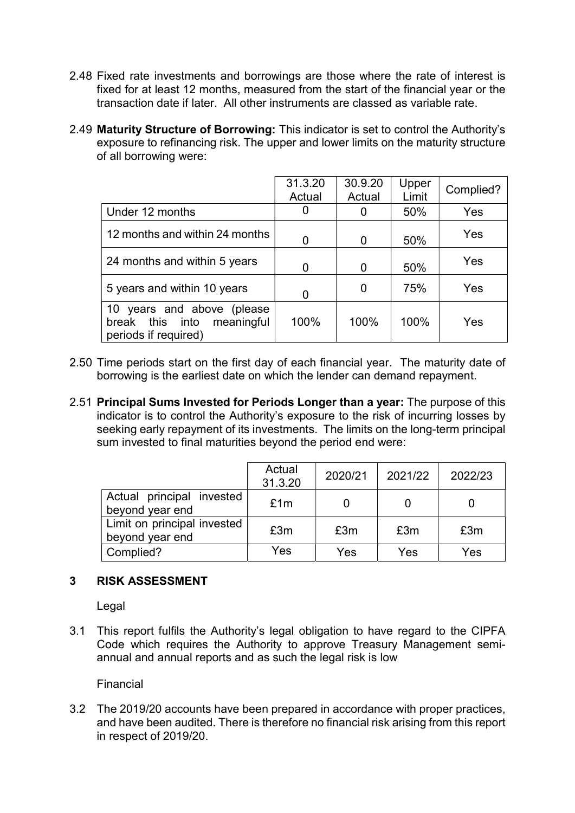- 2.48 Fixed rate investments and borrowings are those where the rate of interest is fixed for at least 12 months, measured from the start of the financial year or the transaction date if later. All other instruments are classed as variable rate.
- 2.49 Maturity Structure of Borrowing: This indicator is set to control the Authority's exposure to refinancing risk. The upper and lower limits on the maturity structure of all borrowing were:

|                                                                                        | 31.3.20<br>Actual | 30.9.20<br>Actual | Upper<br>Limit | Complied? |
|----------------------------------------------------------------------------------------|-------------------|-------------------|----------------|-----------|
| Under 12 months                                                                        |                   | O                 | 50%            | Yes       |
| 12 months and within 24 months                                                         |                   | 0                 | 50%            | Yes       |
| 24 months and within 5 years                                                           |                   | 0                 | 50%            | Yes       |
| 5 years and within 10 years                                                            |                   | O                 | 75%            | Yes       |
| years and above (please<br>10<br>meaningful<br>break this into<br>periods if required) | 100%              | 100%              | 100%           | Yes       |

- 2.50 Time periods start on the first day of each financial year. The maturity date of borrowing is the earliest date on which the lender can demand repayment.
- 2.51 Principal Sums Invested for Periods Longer than a year: The purpose of this indicator is to control the Authority's exposure to the risk of incurring losses by seeking early repayment of its investments. The limits on the long-term principal sum invested to final maturities beyond the period end were:

|                                                | Actual<br>31.3.20 | 2020/21 | 2021/22 | 2022/23 |
|------------------------------------------------|-------------------|---------|---------|---------|
| Actual principal invested<br>beyond year end   | £1m               |         |         |         |
| Limit on principal invested<br>beyond year end | £3m               | £3m     | £3m     | £3m     |
| Complied?                                      | Yes               | Yes     | Yes     | Yes     |

## 3 RISK ASSESSMENT

Legal

3.1 This report fulfils the Authority's legal obligation to have regard to the CIPFA Code which requires the Authority to approve Treasury Management semiannual and annual reports and as such the legal risk is low

Financial

3.2 The 2019/20 accounts have been prepared in accordance with proper practices, and have been audited. There is therefore no financial risk arising from this report in respect of 2019/20.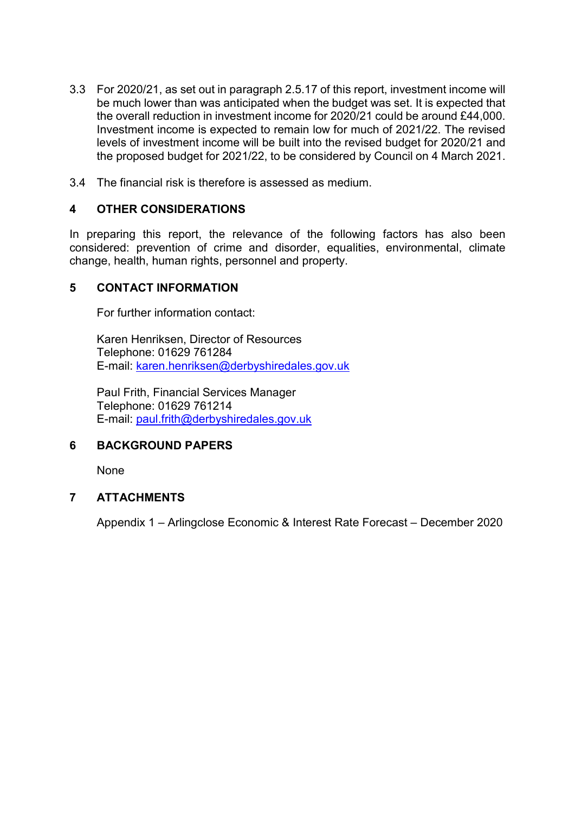- 3.3 For 2020/21, as set out in paragraph 2.5.17 of this report, investment income will be much lower than was anticipated when the budget was set. It is expected that the overall reduction in investment income for 2020/21 could be around £44,000. Investment income is expected to remain low for much of 2021/22. The revised levels of investment income will be built into the revised budget for 2020/21 and the proposed budget for 2021/22, to be considered by Council on 4 March 2021.
- 3.4 The financial risk is therefore is assessed as medium.

## 4 OTHER CONSIDERATIONS

In preparing this report, the relevance of the following factors has also been considered: prevention of crime and disorder, equalities, environmental, climate change, health, human rights, personnel and property.

## 5 CONTACT INFORMATION

For further information contact:

 Karen Henriksen, Director of Resources Telephone: 01629 761284 E-mail: karen.henriksen@derbyshiredales.gov.uk

 Paul Frith, Financial Services Manager Telephone: 01629 761214 E-mail: paul.frith@derbyshiredales.gov.uk

## 6 BACKGROUND PAPERS

None

## 7 ATTACHMENTS

Appendix 1 – Arlingclose Economic & Interest Rate Forecast – December 2020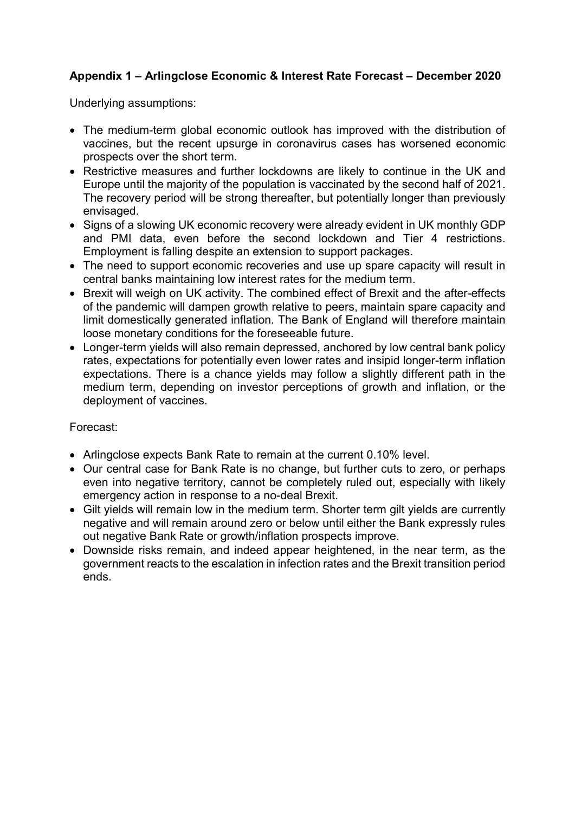## Appendix 1 – Arlingclose Economic & Interest Rate Forecast – December 2020

Underlying assumptions:

- The medium-term global economic outlook has improved with the distribution of vaccines, but the recent upsurge in coronavirus cases has worsened economic prospects over the short term.
- Restrictive measures and further lockdowns are likely to continue in the UK and Europe until the majority of the population is vaccinated by the second half of 2021. The recovery period will be strong thereafter, but potentially longer than previously envisaged.
- Signs of a slowing UK economic recovery were already evident in UK monthly GDP and PMI data, even before the second lockdown and Tier 4 restrictions. Employment is falling despite an extension to support packages.
- The need to support economic recoveries and use up spare capacity will result in central banks maintaining low interest rates for the medium term.
- Brexit will weigh on UK activity. The combined effect of Brexit and the after-effects of the pandemic will dampen growth relative to peers, maintain spare capacity and limit domestically generated inflation. The Bank of England will therefore maintain loose monetary conditions for the foreseeable future.
- Longer-term yields will also remain depressed, anchored by low central bank policy rates, expectations for potentially even lower rates and insipid longer-term inflation expectations. There is a chance yields may follow a slightly different path in the medium term, depending on investor perceptions of growth and inflation, or the deployment of vaccines.

### Forecast:

- Arlingclose expects Bank Rate to remain at the current 0.10% level.
- Our central case for Bank Rate is no change, but further cuts to zero, or perhaps even into negative territory, cannot be completely ruled out, especially with likely emergency action in response to a no-deal Brexit.
- Gilt yields will remain low in the medium term. Shorter term gilt yields are currently negative and will remain around zero or below until either the Bank expressly rules out negative Bank Rate or growth/inflation prospects improve.
- Downside risks remain, and indeed appear heightened, in the near term, as the government reacts to the escalation in infection rates and the Brexit transition period ends.